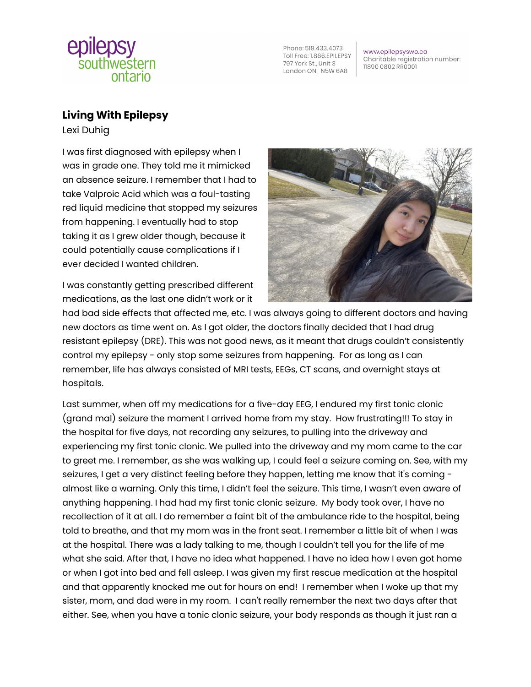

Phone: 519.433.4073 Toll Free: 1.866.EPILEPSY 797 York St., Unit 3 London ON, N5W 6A8

www.epilepsyswo.ca Charitable registration number: 11890 0802 RR0001

## **Living With Epilepsy**

Lexi Duhig

I was first diagnosed with epilepsy when I was in grade one. They told me it mimicked an absence seizure. I remember that I had to take Valproic Acid which was a foul-tasting red liquid medicine that stopped my seizures from happening. I eventually had to stop taking it as I grew older though, because it could potentially cause complications if I ever decided I wanted children.

I was constantly getting prescribed different medications, as the last one didn't work or it



had bad side effects that affected me, etc. I was always going to different doctors and having new doctors as time went on. As I got older, the doctors finally decided that I had drug resistant epilepsy (DRE). This was not good news, as it meant that drugs couldn't consistently control my epilepsy - only stop some seizures from happening. For as long as I can remember, life has always consisted of MRI tests, EEGs, CT scans, and overnight stays at hospitals.

Last summer, when off my medications for a five-day EEG, I endured my first tonic clonic (grand mal) seizure the moment I arrived home from my stay. How frustrating!!! To stay in the hospital for five days, not recording any seizures, to pulling into the driveway and experiencing my first tonic clonic. We pulled into the driveway and my mom came to the car to greet me. I remember, as she was walking up, I could feel a seizure coming on. See, with my seizures, I get a very distinct feeling before they happen, letting me know that it's coming almost like a warning. Only this time, I didn't feel the seizure. This time, I wasn't even aware of anything happening. I had had my first tonic clonic seizure. My body took over, I have no recollection of it at all. I do remember a faint bit of the ambulance ride to the hospital, being told to breathe, and that my mom was in the front seat. I remember a little bit of when I was at the hospital. There was a lady talking to me, though I couldn't tell you for the life of me what she said. After that, I have no idea what happened. I have no idea how I even got home or when I got into bed and fell asleep. I was given my first rescue medication at the hospital and that apparently knocked me out for hours on end! I remember when I woke up that my sister, mom, and dad were in my room. I can't really remember the next two days after that either. See, when you have a tonic clonic seizure, your body responds as though it just ran a